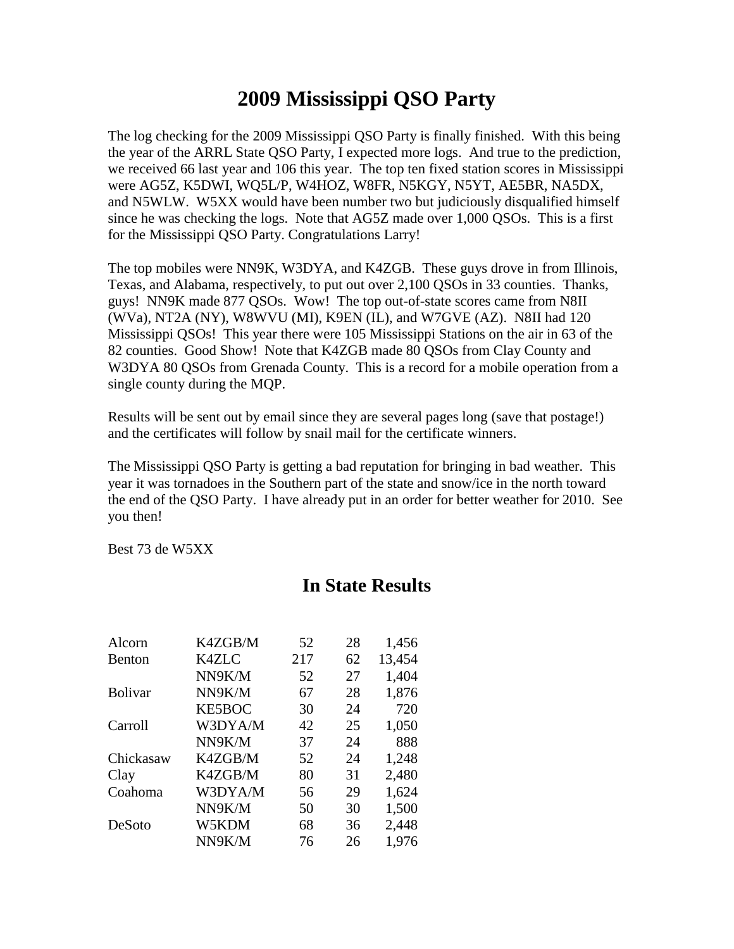## **2009 Mississippi QSO Party**

The log checking for the 2009 Mississippi QSO Party is finally finished. With this being the year of the ARRL State QSO Party, I expected more logs. And true to the prediction, we received 66 last year and 106 this year. The top ten fixed station scores in Mississippi were AG5Z, K5DWI, WQ5L/P, W4HOZ, W8FR, N5KGY, N5YT, AE5BR, NA5DX, and N5WLW. W5XX would have been number two but judiciously disqualified himself since he was checking the logs. Note that AG5Z made over 1,000 QSOs. This is a first for the Mississippi QSO Party. Congratulations Larry!

The top mobiles were NN9K, W3DYA, and K4ZGB. These guys drove in from Illinois, Texas, and Alabama, respectively, to put out over 2,100 QSOs in 33 counties. Thanks, guys! NN9K made 877 QSOs. Wow! The top out-of-state scores came from N8II (WVa), NT2A (NY), W8WVU (MI), K9EN (IL), and W7GVE (AZ). N8II had 120 Mississippi QSOs! This year there were 105 Mississippi Stations on the air in 63 of the 82 counties. Good Show! Note that K4ZGB made 80 QSOs from Clay County and W3DYA 80 QSOs from Grenada County. This is a record for a mobile operation from a single county during the MQP.

Results will be sent out by email since they are several pages long (save that postage!) and the certificates will follow by snail mail for the certificate winners.

The Mississippi QSO Party is getting a bad reputation for bringing in bad weather. This year it was tornadoes in the Southern part of the state and snow/ice in the north toward the end of the QSO Party. I have already put in an order for better weather for 2010. See you then!

Best 73 de W5XX

| Alcorn         | K4ZGB/M       | 52  | 28 | 1,456  |
|----------------|---------------|-----|----|--------|
| <b>Benton</b>  | <b>K4ZLC</b>  | 217 | 62 | 13,454 |
|                | NN9K/M        | 52  | 27 | 1,404  |
| <b>Bolivar</b> | NN9K/M        | 67  | 28 | 1,876  |
|                | <b>KE5BOC</b> | 30  | 24 | 720    |
| Carroll        | W3DYA/M       | 42  | 25 | 1,050  |
|                | NN9K/M        | 37  | 24 | 888    |
| Chickasaw      | K4ZGB/M       | 52  | 24 | 1,248  |
| Clay           | K4ZGB/M       | 80  | 31 | 2,480  |
| Coahoma        | W3DYA/M       | 56  | 29 | 1,624  |
|                | NN9K/M        | 50  | 30 | 1,500  |
| DeSoto         | W5KDM         | 68  | 36 | 2,448  |
|                | NN9K/M        | 76  | 26 | 1,976  |

## **In State Results**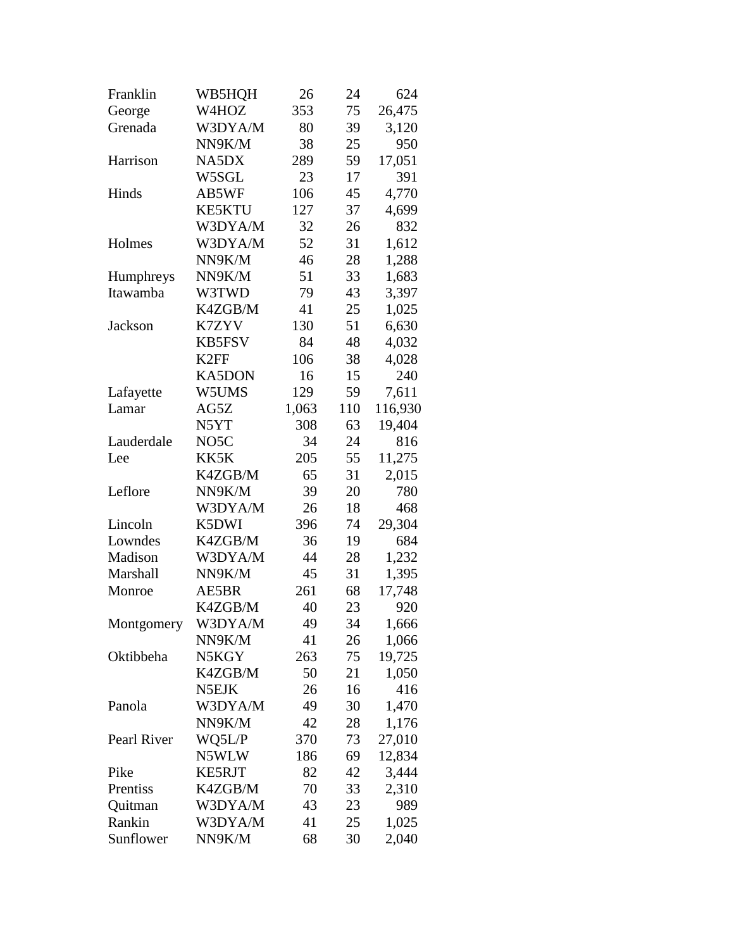| Franklin    | WB5HQH            | 26    | 24  | 624     |
|-------------|-------------------|-------|-----|---------|
| George      | W4HOZ             | 353   | 75  | 26,475  |
| Grenada     | W3DYA/M           | 80    | 39  | 3,120   |
|             | NN9K/M            | 38    | 25  | 950     |
| Harrison    | NA5DX             | 289   | 59  | 17,051  |
|             | W5SGL             | 23    | 17  | 391     |
| Hinds       | AB5WF             | 106   | 45  | 4,770   |
|             | <b>KE5KTU</b>     | 127   | 37  | 4,699   |
|             | W3DYA/M           | 32    | 26  | 832     |
| Holmes      | W3DYA/M           | 52    | 31  | 1,612   |
|             | NN9K/M            | 46    | 28  | 1,288   |
| Humphreys   | NN9K/M            | 51    | 33  | 1,683   |
| Itawamba    | W3TWD             | 79    | 43  | 3,397   |
|             | K4ZGB/M           | 41    | 25  | 1,025   |
| Jackson     | K7ZYV             | 130   | 51  | 6,630   |
|             | <b>KB5FSV</b>     | 84    | 48  | 4,032   |
|             | K <sub>2</sub> FF | 106   | 38  | 4,028   |
|             | <b>KA5DON</b>     | 16    | 15  | 240     |
| Lafayette   | W5UMS             | 129   | 59  | 7,611   |
| Lamar       | AG5Z              | 1,063 | 110 | 116,930 |
|             | N5YT              | 308   | 63  | 19,404  |
| Lauderdale  | NO <sub>5</sub> C | 34    | 24  | 816     |
| Lee         | KK5K              | 205   | 55  | 11,275  |
|             | K4ZGB/M           | 65    | 31  | 2,015   |
| Leflore     | NN9K/M            | 39    | 20  | 780     |
|             | W3DYA/M           | 26    | 18  | 468     |
| Lincoln     | K5DWI             | 396   | 74  | 29,304  |
| Lowndes     | K4ZGB/M           | 36    | 19  | 684     |
| Madison     | W3DYA/M           | 44    | 28  | 1,232   |
| Marshall    | NN9K/M            | 45    | 31  | 1,395   |
| Monroe      | AE5BR             | 261   | 68  | 17,748  |
|             | K4ZGB/M           | 40    | 23  | 920     |
| Montgomery  | W3DYA/M           | 49    | 34  | 1,666   |
|             | NN9K/M            | 41    | 26  | 1,066   |
| Oktibbeha   | N5KGY             | 263   | 75  | 19,725  |
|             | K4ZGB/M           | 50    | 21  | 1,050   |
|             | N5EJK             | 26    | 16  | 416     |
| Panola      | W3DYA/M           | 49    | 30  | 1,470   |
|             | NN9K/M            | 42    | 28  | 1,176   |
| Pearl River | WQ5L/P            | 370   | 73  | 27,010  |
|             | N5WLW             | 186   | 69  | 12,834  |
| Pike        | <b>KE5RJT</b>     | 82    | 42  | 3,444   |
| Prentiss    | K4ZGB/M           | 70    | 33  | 2,310   |
| Quitman     | W3DYA/M           | 43    | 23  | 989     |
| Rankin      | W3DYA/M           | 41    | 25  | 1,025   |
| Sunflower   | NN9K/M            | 68    | 30  | 2,040   |
|             |                   |       |     |         |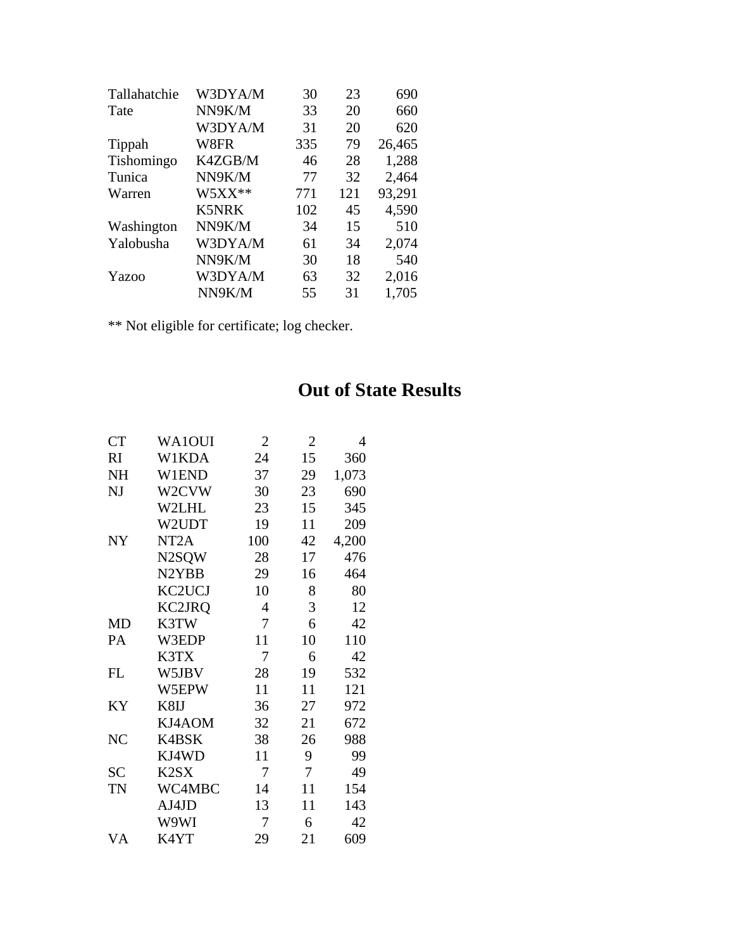| Tallahatchie | W3DYA/M      | 30  | 23  | 690    |
|--------------|--------------|-----|-----|--------|
| Tate         | NN9K/M       | 33  | 20  | 660    |
|              | W3DYA/M      | 31  | 20  | 620    |
| Tippah       | W8FR         | 335 | 79  | 26,465 |
| Tishomingo   | K4ZGB/M      | 46  | 28  | 1,288  |
| Tunica       | NN9K/M       | 77  | 32  | 2,464  |
| Warren       | $W5XX**$     | 771 | 121 | 93,291 |
|              | <b>K5NRK</b> | 102 | 45  | 4,590  |
| Washington   | NN9K/M       | 34  | 15  | 510    |
| Yalobusha    | W3DYA/M      | 61  | 34  | 2,074  |
|              | NN9K/M       | 30  | 18  | 540    |
| Yazoo        | W3DYA/M      | 63  | 32  | 2,016  |
|              | NN9K/M       | 55  | 31  | 1,705  |

\*\* Not eligible for certificate; log checker.

## **Out of State Results**

| <b>CT</b>      | WA1OUI                        | $\overline{2}$ | $\overline{2}$ | 4     |
|----------------|-------------------------------|----------------|----------------|-------|
| RI             | W1KDA                         | 24             | 15             | 360   |
| <b>NH</b>      | W1END                         | 37             | 29             | 1,073 |
| NJ             | W2CVW                         | 30             | 23             | 690   |
|                | W2LHL                         | 23             | 15             | 345   |
|                | W2UDT                         | 19             | 11             | 209   |
| <b>NY</b>      | NT <sub>2</sub> A             | 100            | 42             | 4,200 |
|                | N2SQW                         | 28             | 17             | 476   |
|                | N <sub>2</sub> YBB            | 29             | 16             | 464   |
|                | KC2UCJ                        | 10             | 8              | 80    |
|                | KC2JRQ                        | $\overline{4}$ | 3              | 12    |
| <b>MD</b>      | K3TW                          | 7              | 6              | 42    |
| PA             | W3EDP                         | 11             | 10             | 110   |
|                | K3TX                          | 7              | 6              | 42    |
| FL             | W5JBV                         | 28             | 19             | 532   |
|                | W5EPW                         | 11             | 11             | 121   |
| KY             | K8IJ                          | 36             | 27             | 972   |
|                | KJ4AOM                        | 32             | 21             | 672   |
| N <sub>C</sub> | K4BSK                         | 38             | 26             | 988   |
|                | KJ4WD                         | 11             | 9              | 99    |
| <b>SC</b>      | K <sub>2</sub> S <sub>X</sub> | 7              | 7              | 49    |
| <b>TN</b>      | WC4MBC                        | 14             | 11             | 154   |
|                | AJ4JD                         | 13             | 11             | 143   |
|                | W9WI                          | 7              | 6              | 42    |
| VA             | K4YT                          | 29             | 21             | 609   |